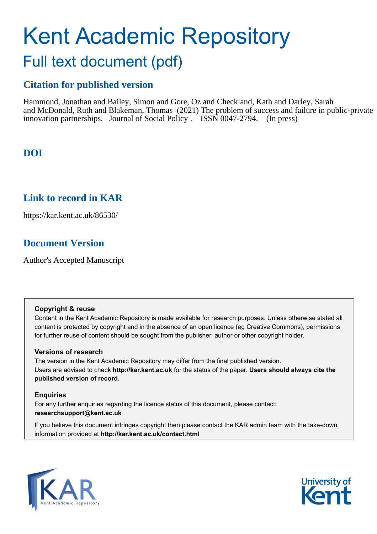# Kent Academic Repository Full text document (pdf)

## **Citation for published version**

Hammond, Jonathan and Bailey, Simon and Gore, Oz and Checkland, Kath and Darley, Sarah and McDonald, Ruth and Blakeman, Thomas (2021) The problem of success and failure in public-private innovation partnerships. Journal of Social Policy . ISSN 0047-2794. (In press)

## **DOI**

### **Link to record in KAR**

https://kar.kent.ac.uk/86530/

## **Document Version**

Author's Accepted Manuscript

#### **Copyright & reuse**

Content in the Kent Academic Repository is made available for research purposes. Unless otherwise stated all content is protected by copyright and in the absence of an open licence (eg Creative Commons), permissions for further reuse of content should be sought from the publisher, author or other copyright holder.

#### **Versions of research**

The version in the Kent Academic Repository may differ from the final published version. Users are advised to check **http://kar.kent.ac.uk** for the status of the paper. **Users should always cite the published version of record.**

#### **Enquiries**

For any further enquiries regarding the licence status of this document, please contact: **researchsupport@kent.ac.uk**

If you believe this document infringes copyright then please contact the KAR admin team with the take-down information provided at **http://kar.kent.ac.uk/contact.html**



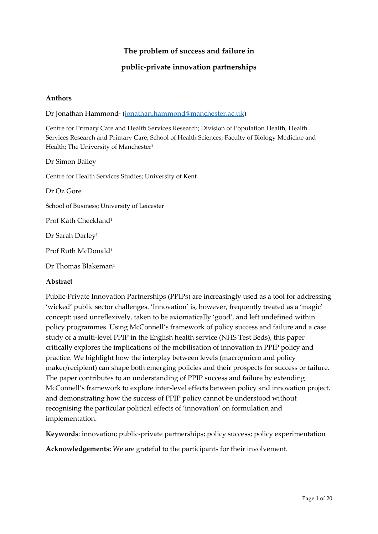#### **The problem of success and failure in**

#### **public-private innovation partnerships**

#### **Authors**

Dr Jonathan Hammond<sup>1</sup> (<u>jonathan.hammond@manchester.ac.uk</u>)

Centre for Primary Care and Health Services Research; Division of Population Health, Health Services Research and Primary Care; School of Health Sciences; Faculty of Biology Medicine and Health; The University of Manchester<sup>1</sup>

Dr Simon Bailey Centre for Health Services Studies; University of Kent Dr Oz Gore School of Business; University of Leicester Prof Kath Checkland<sup>1</sup> Dr Sarah Darley<sup>1</sup> Prof Ruth McDonald<sup>1</sup> Dr Thomas Blakeman<sup>1</sup>

#### **Abstract**

Public-Private Innovation Partnerships (PPIPs) are increasingly used as a tool for addressing 'wicked' public sector challenges. 'Innovation' is, however, frequently treated as a 'magic' concept: used unreflexively, taken to be axiomatically 'good', and left undefined within policy programmes. Using McConnell's framework of policy success and failure and a case study of a multi-level PPIP in the English health service (NHS Test Beds), this paper critically explores the implications of the mobilisation of innovation in PPIP policy and practice. We highlight how the interplay between levels (macro/micro and policy maker/recipient) can shape both emerging policies and their prospects for success or failure. The paper contributes to an understanding of PPIP success and failure by extending McConnell's framework to explore inter-level effects between policy and innovation project, and demonstrating how the success of PPIP policy cannot be understood without recognising the particular political effects of 'innovation' on formulation and implementation.

**Keywords**: innovation; public-private partnerships; policy success; policy experimentation

**Acknowledgements:** We are grateful to the participants for their involvement.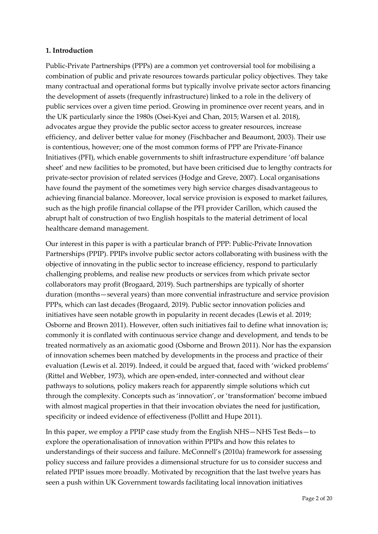#### **1. Introduction**

Public-Private Partnerships (PPPs) are a common yet controversial tool for mobilising a combination of public and private resources towards particular policy objectives. They take many contractual and operational forms but typically involve private sector actors financing the development of assets (frequently infrastructure) linked to a role in the delivery of public services over a given time period. Growing in prominence over recent years, and in the UK particularly since the 1980s (Osei-Kyei and Chan, 2015; Warsen et al. 2018), advocates argue they provide the public sector access to greater resources, increase efficiency, and deliver better value for money (Fischbacher and Beaumont, 2003). Their use is contentious, however; one of the most common forms of PPP are Private-Finance Initiatives (PFI), which enable governments to shift infrastructure expenditure 'off balance sheet' and new facilities to be promoted, but have been criticised due to lengthy contracts for private-sector provision of related services (Hodge and Greve, 2007). Local organisations have found the payment of the sometimes very high service charges disadvantageous to achieving financial balance. Moreover, local service provision is exposed to market failures, such as the high profile financial collapse of the PFI provider Carillon, which caused the abrupt halt of construction of two English hospitals to the material detriment of local healthcare demand management.

Our interest in this paper is with a particular branch of PPP: Public-Private Innovation Partnerships (PPIP). PPIPs involve public sector actors collaborating with business with the objective of innovating in the public sector to increase efficiency, respond to particularly challenging problems, and realise new products or services from which private sector collaborators may profit (Brogaard, 2019). Such partnerships are typically of shorter duration (months—several years) than more convential infrastructure and service provision PPPs, which can last decades (Brogaard, 2019). Public sector innovation policies and initiatives have seen notable growth in popularity in recent decades (Lewis et al. 2019; Osborne and Brown 2011). However, often such initiatives fail to define what innovation is; commonly it is conflated with continuous service change and development, and tends to be treated normatively as an axiomatic good (Osborne and Brown 2011). Nor has the expansion of innovation schemes been matched by developments in the process and practice of their evaluation (Lewis et al. 2019). Indeed, it could be argued that, faced with 'wicked problems' (Rittel and Webber, 1973), which are open-ended, inter-connected and without clear pathways to solutions, policy makers reach for apparently simple solutions which cut through the complexity. Concepts such as 'innovation', or 'transformation' become imbued with almost magical properties in that their invocation obviates the need for justification, specificity or indeed evidence of effectiveness (Pollitt and Hupe 2011).

In this paper, we employ a PPIP case study from the English NHS—NHS Test Beds—to explore the operationalisation of innovation within PPIPs and how this relates to understandings of their success and failure. McConnell's (2010a) framework for assessing policy success and failure provides a dimensional structure for us to consider success and related PPIP issues more broadly. Motivated by recognition that the last twelve years has seen a push within UK Government towards facilitating local innovation initiatives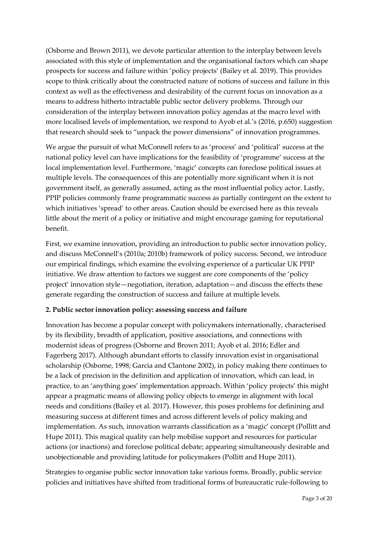(Osborne and Brown 2011), we devote particular attention to the interplay between levels associated with this style of implementation and the organisational factors which can shape prospects for success and failure within 'policy projects' (Bailey et al. 2019). This provides scope to think critically about the constructed nature of notions of success and failure in this context as well as the effectiveness and desirability of the current focus on innovation as a means to address hitherto intractable public sector delivery problems. Through our consideration of the interplay between innovation policy agendas at the macro level with more localised levels of implementation, we respond to Ayob et al.'s (2016, p.650) suggestion that research should seek to "unpack the power dimensions" of innovation programmes.

We argue the pursuit of what McConnell refers to as 'process' and 'political' success at the national policy level can have implications for the feasibility of 'programme' success at the local implementation level. Furthermore, 'magic' concepts can foreclose political issues at multiple levels. The consequences of this are potentially more significant when it is not government itself, as generally assumed, acting as the most influential policy actor. Lastly, PPIP policies commonly frame programmatic success as partially contingent on the extent to which initiatives 'spread' to other areas. Caution should be exercised here as this reveals little about the merit of a policy or initiative and might encourage gaming for reputational benefit.

First, we examine innovation, providing an introduction to public sector innovation policy, and discuss McConnell's (2010a; 2010b) framework of policy success. Second, we introduce our empirical findings, which examine the evolving experience of a particular UK PPIP initiative. We draw attention to factors we suggest are core components of the 'policy project' innovation style—negotiation, iteration, adaptation—and discuss the effects these generate regarding the construction of success and failure at multiple levels.

#### **2. Public sector innovation policy: assessing success and failure**

Innovation has become a popular concept with policymakers internationally, characterised by its flexibility, breadth of application, positive associations, and connections with modernist ideas of progress (Osborne and Brown 2011; Ayob et al. 2016; Edler and Fagerberg 2017). Although abundant efforts to classify innovation exist in organisational scholarship (Osborne, 1998; Garcia and Clantone 2002), in policy making there continues to be a lack of precision in the definition and application of innovation, which can lead, in practice, to an 'anything goes' implementation approach. Within 'policy projects' this might appear a pragmatic means of allowing policy objects to emerge in alignment with local needs and conditions (Bailey et al. 2017). However, this poses problems for definining and measuring success at different times and across different levels of policy making and implementation. As such, innovation warrants classification as a 'magic' concept (Pollitt and Hupe 2011). This magical quality can help mobilise support and resources for particular actions (or inactions) and foreclose political debate; appearing simultaneously desirable and unobjectionable and providing latitude for policymakers (Pollitt and Hupe 2011).

Strategies to organise public sector innovation take various forms. Broadly, public service policies and initiatives have shifted from traditional forms of bureaucratic rule-following to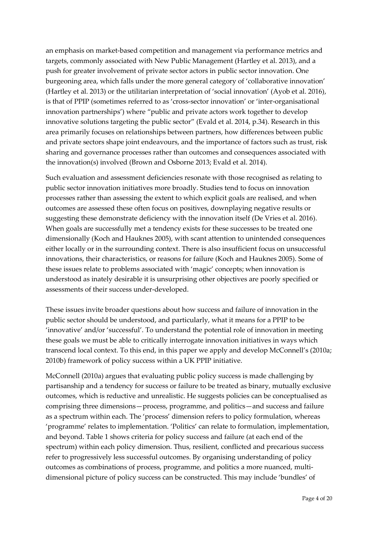an emphasis on market-based competition and management via performance metrics and targets, commonly associated with New Public Management (Hartley et al. 2013), and a push for greater involvement of private sector actors in public sector innovation. One burgeoning area, which falls under the more general category of 'collaborative innovation' (Hartley et al. 2013) or the utilitarian interpretation of 'social innovation' (Ayob et al. 2016), is that of PPIP (sometimes referred to as 'cross-sector innovation' or 'inter-organisational innovation partnerships') where "public and private actors work together to develop innovative solutions targeting the public sector" (Evald et al. 2014, p.34). Research in this area primarily focuses on relationships between partners, how differences between public and private sectors shape joint endeavours, and the importance of factors such as trust, risk sharing and governance processes rather than outcomes and consequences associated with the innovation(s) involved (Brown and Osborne 2013; Evald et al. 2014).

Such evaluation and assessment deficiencies resonate with those recognised as relating to public sector innovation initiatives more broadly. Studies tend to focus on innovation processes rather than assessing the extent to which explicit goals are realised, and when outcomes are assessed these often focus on positives, downplaying negative results or suggesting these demonstrate deficiency with the innovation itself (De Vries et al. 2016). When goals are successfully met a tendency exists for these successes to be treated one dimensionally (Koch and Hauknes 2005), with scant attention to unintended consequences either locally or in the surrounding context. There is also insufficient focus on unsuccessful innovations, their characteristics, or reasons for failure (Koch and Hauknes 2005). Some of these issues relate to problems associated with 'magic' concepts; when innovation is understood as inately desirable it is unsurprising other objectives are poorly specified or assessments of their success under-developed.

These issues invite broader questions about how success and failure of innovation in the public sector should be understood, and particularly, what it means for a PPIP to be 'innovative' and/or 'successful'. To understand the potential role of innovation in meeting these goals we must be able to critically interrogate innovation initiatives in ways which transcend local context. To this end, in this paper we apply and develop McConnell's (2010a; 2010b) framework of policy success within a UK PPIP initiative.

McConnell (2010a) argues that evaluating public policy success is made challenging by partisanship and a tendency for success or failure to be treated as binary, mutually exclusive outcomes, which is reductive and unrealistic. He suggests policies can be conceptualised as comprising three dimensions—process, programme, and politics—and success and failure as a spectrum within each. The 'process' dimension refers to policy formulation, whereas 'programme' relates to implementation. 'Politics' can relate to formulation, implementation, and beyond. Table 1 shows criteria for policy success and failure (at each end of the spectrum) within each policy dimension. Thus, resilient, conflicted and precarious success refer to progressively less successful outcomes. By organising understanding of policy outcomes as combinations of process, programme, and politics a more nuanced, multidimensional picture of policy success can be constructed. This may include 'bundles' of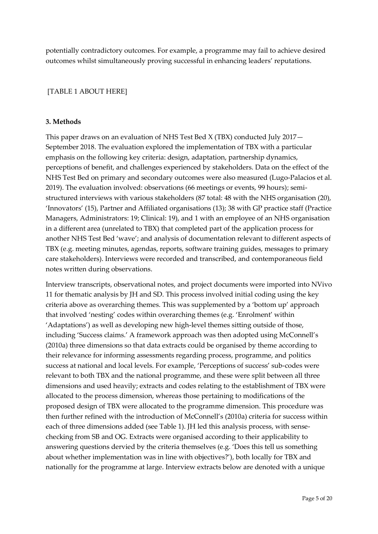potentially contradictory outcomes. For example, a programme may fail to achieve desired outcomes whilst simultaneously proving successful in enhancing leaders' reputations.

#### [TABLE 1 ABOUT HERE]

#### **3. Methods**

This paper draws on an evaluation of NHS Test Bed X (TBX) conducted July 2017— September 2018. The evaluation explored the implementation of TBX with a particular emphasis on the following key criteria: design, adaptation, partnership dynamics, perceptions of benefit, and challenges experienced by stakeholders. Data on the effect of the NHS Test Bed on primary and secondary outcomes were also measured (Lugo-Palacios et al. 2019). The evaluation involved: observations (66 meetings or events, 99 hours); semistructured interviews with various stakeholders (87 total: 48 with the NHS organisation (20), 'Innovators' (15), Partner and Affiliated organisations (13); 38 with GP practice staff (Practice Managers, Administrators: 19; Clinical: 19), and 1 with an employee of an NHS organisation in a different area (unrelated to TBX) that completed part of the application process for another NHS Test Bed 'wave'; and analysis of documentation relevant to different aspects of TBX (e.g. meeting minutes, agendas, reports, software training guides, messages to primary care stakeholders). Interviews were recorded and transcribed, and contemporaneous field notes written during observations.

Interview transcripts, observational notes, and project documents were imported into NVivo 11 for thematic analysis by JH and SD. This process involved initial coding using the key criteria above as overarching themes. This was supplemented by a 'bottom up' approach that involved 'nesting' codes within overarching themes (e.g. 'Enrolment' within 'Adaptations') as well as developing new high-level themes sitting outside of those, including 'Success claims.' A framework approach was then adopted using McConnell's (2010a) three dimensions so that data extracts could be organised by theme according to their relevance for informing assessments regarding process, programme, and politics success at national and local levels. For example, 'Perceptions of success' sub-codes were relevant to both TBX and the national programme, and these were split between all three dimensions and used heavily; extracts and codes relating to the establishment of TBX were allocated to the process dimension, whereas those pertaining to modifications of the proposed design of TBX were allocated to the programme dimension. This procedure was then further refined with the introduction of McConnell's (2010a) criteria for success within each of three dimensions added (see Table 1). JH led this analysis process, with sensechecking from SB and OG. Extracts were organised according to their applicability to answering questions dervied by the criteria themselves (e.g. 'Does this tell us something about whether implementation was in line with objectives?'), both locally for TBX and nationally for the programme at large. Interview extracts below are denoted with a unique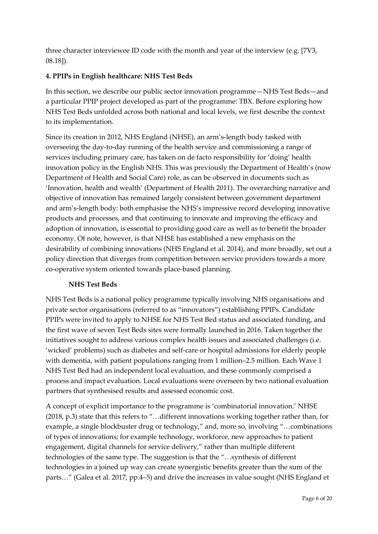three character interviewee ID code with the month and year of the interview (e.g. [7V3, 08.18]).

#### **4. PPIPs in English healthcare: NHS Test Beds**

In this section, we describe our public sector innovation programme—NHS Test Beds—and a particular PPIP project developed as part of the programme: TBX. Before exploring how NHS Test Beds unfolded across both national and local levels, we first describe the context to its implementation.

Since its creation in 2012, NHS England (NHSE), an arm's-length body tasked with overseeing the day-to-day running of the health service and commissioning a range of services including primary care, has taken on de facto responsibility for 'doing' health innovation policy in the English NHS. This was previously the Department of Health's (now Department of Health and Social Care) role, as can be observed in documents such as 'Innovation, health and wealth' (Department of Health 2011). The overarching narrative and objective of innovation has remained largely consistent between government department and arm's-length body: both emphasise the NHS's impressive record developing innovative products and processes, and that continuing to innovate and improving the efficacy and adoption of innovation, is essential to providing good care as well as to benefit the broader economy. Of note, however, is that NHSE has established a new emphasis on the desirability of combining innovations (NHS England et al. 2014), and more broadly, set out a policy direction that diverges from competition between service providers towards a more co-operative system oriented towards place-based planning.

#### **NHS Test Beds**

NHS Test Beds is a national policy programme typically involving NHS organisations and private sector organisations (referred to as "innovators") establishing PPIPs. Candidate PPIPs were invited to apply to NHSE for NHS Test Bed status and associated funding, and the first wave of seven Test Beds sites were formally launched in 2016. Taken together the initiatives sought to address various complex health issues and associated challenges (i.e. 'wicked' problems) such as diabetes and self-care or hospital admissions for elderly people with dementia, with patient populations ranging from 1 million–2.5 million. Each Wave 1 NHS Test Bed had an independent local evaluation, and these commonly comprised a process and impact evaluation. Local evaluations were overseen by two national evaluation partners that synthesised results and assessed economic cost.

A concept of explicit importance to the programme is 'combinatorial innovation.' NHSE (2018, p.3) state that this refers to "…different innovations working together rather than, for example, a single blockbuster drug or technology," and, more so, involving "…combinations of types of innovations; for example technology, workforce, new approaches to patient engagement, digital channels for service delivery," rather than multiple different technologies of the same type. The suggestion is that the "…synthesis of different technologies in a joined up way can create synergistic benefits greater than the sum of the parts…" (Galea et al. 2017, pp.4–5) and drive the increases in value sought (NHS England et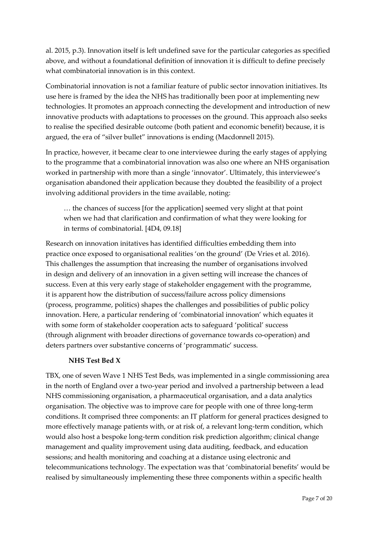al. 2015, p.3). Innovation itself is left undefined save for the particular categories as specified above, and without a foundational definition of innovation it is difficult to define precisely what combinatorial innovation is in this context.

Combinatorial innovation is not a familiar feature of public sector innovation initiatives. Its use here is framed by the idea the NHS has traditionally been poor at implementing new technologies. It promotes an approach connecting the development and introduction of new innovative products with adaptations to processes on the ground. This approach also seeks to realise the specified desirable outcome (both patient and economic benefit) because, it is argued, the era of "silver bullet" innovations is ending (Macdonnell 2015).

In practice, however, it became clear to one interviewee during the early stages of applying to the programme that a combinatorial innovation was also one where an NHS organisation worked in partnership with more than a single 'innovator'. Ultimately, this interviewee's organisation abandoned their application because they doubted the feasibility of a project involving additional providers in the time available, noting:

… the chances of success [for the application] seemed very slight at that point when we had that clarification and confirmation of what they were looking for in terms of combinatorial. [4D4, 09.18]

Research on innovation initatives has identified difficulties embedding them into practice once exposed to organisational realities 'on the ground' (De Vries et al. 2016). This challenges the assumption that increasing the number of organisations involved in design and delivery of an innovation in a given setting will increase the chances of success. Even at this very early stage of stakeholder engagement with the programme, it is apparent how the distribution of success/failure across policy dimensions (process, programme, politics) shapes the challenges and possibilities of public policy innovation. Here, a particular rendering of 'combinatorial innovation' which equates it with some form of stakeholder cooperation acts to safeguard 'political' success (through alignment with broader directions of governance towards co-operation) and deters partners over substantive concerns of 'programmatic' success.

#### **NHS Test Bed X**

TBX, one of seven Wave 1 NHS Test Beds, was implemented in a single commissioning area in the north of England over a two-year period and involved a partnership between a lead NHS commissioning organisation, a pharmaceutical organisation, and a data analytics organisation. The objective was to improve care for people with one of three long-term conditions. It comprised three components: an IT platform for general practices designed to more effectively manage patients with, or at risk of, a relevant long-term condition, which would also host a bespoke long-term condition risk prediction algorithm; clinical change management and quality improvement using data auditing, feedback, and education sessions; and health monitoring and coaching at a distance using electronic and telecommunications technology. The expectation was that 'combinatorial benefits' would be realised by simultaneously implementing these three components within a specific health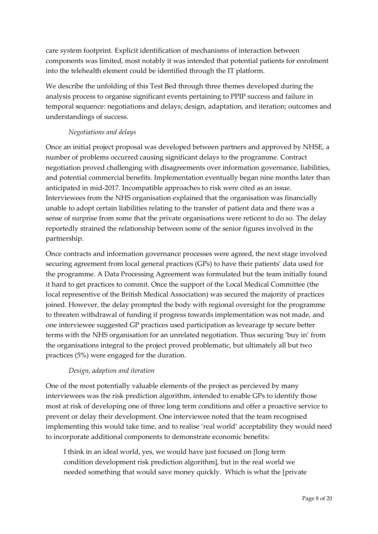care system footprint. Explicit identification of mechanisms of interaction between components was limited, most notably it was intended that potential patients for enrolment into the telehealth element could be identified through the IT platform.

We describe the unfolding of this Test Bed through three themes developed during the analysis process to organise significant events pertaining to PPIP success and failure in temporal sequence: negotiations and delays; design, adaptation, and iteration; outcomes and understandings of success.

#### *Negotiations and delays*

Once an initial project proposal was developed between partners and approved by NHSE, a number of problems occurred causing significant delays to the programme. Contract negotiation proved challenging with disagreements over information governance, liabilities, and potential commercial benefits. Implementation eventually began nine months later than anticipated in mid-2017. Incompatible approaches to risk were cited as an issue. Interviewees from the NHS organisation explained that the organisation was financially unable to adopt certain liabilities relating to the transfer of patient data and there was a sense of surprise from some that the private organisations were reticent to do so. The delay reportedly strained the relationship between some of the senior figures involved in the partnership.

Once contracts and information governance processes were agreed, the next stage involved securing agreement from local general practices (GPs) to have their patients' data used for the programme. A Data Processing Agreement was formulated but the team initially found it hard to get practices to commit. Once the support of the Local Medical Committee (the local representive of the British Medical Association) was secured the majority of practices joined. However, the delay prompted the body with regional oversight for the programme to threaten withdrawal of funding if progress towards implementation was not made, and one interviewee suggested GP practices used participation as levearage tp secure better terms with the NHS organisation for an unrelated negotiation. Thus securing 'buy in' from the organisations integral to the project proved problematic, but ultimately all but two practices (5%) were engaged for the duration.

#### *Design, adaption and iteration*

One of the most potentially valuable elements of the project as percieved by many interviewees was the risk prediction algorithm, intended to enable GPs to identify those most at risk of developing one of three long term conditions and offer a proactive service to prevent or delay their development. One interviewee noted that the team recognised implementing this would take time, and to realise 'real world' acceptability they would need to incorporate additional components to demonstrate economic benefits:

I think in an ideal world, yes, we would have just focused on [long term condition development risk prediction algorithm], but in the real world we needed something that would save money quickly. Which is what the [private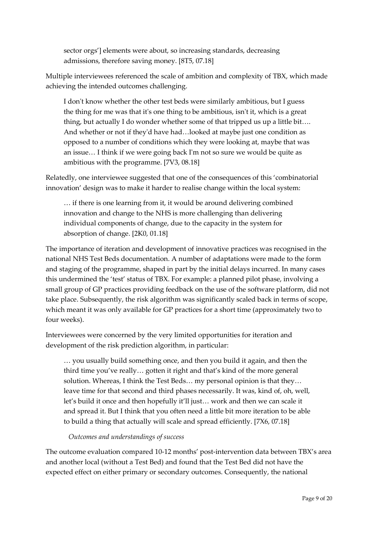sector orgs'] elements were about, so increasing standards, decreasing admissions, therefore saving money. [8T5, 07.18]

Multiple interviewees referenced the scale of ambition and complexity of TBX, which made achieving the intended outcomes challenging.

I don't know whether the other test beds were similarly ambitious, but I guess the thing for me was that it's one thing to be ambitious, isn't it, which is a great thing, but actually I do wonder whether some of that tripped us up a little bit…. And whether or not if they'd have had…looked at maybe just one condition as opposed to a number of conditions which they were looking at, maybe that was an issue… I think if we were going back I'm not so sure we would be quite as ambitious with the programme. [7V3, 08.18]

Relatedly, one interviewee suggested that one of the consequences of this 'combinatorial innovation' design was to make it harder to realise change within the local system:

… if there is one learning from it, it would be around delivering combined innovation and change to the NHS is more challenging than delivering individual components of change, due to the capacity in the system for absorption of change. [2K0, 01.18]

The importance of iteration and development of innovative practices was recognised in the national NHS Test Beds documentation. A number of adaptations were made to the form and staging of the programme, shaped in part by the initial delays incurred. In many cases this undermined the 'test' status of TBX. For example: a planned pilot phase, involving a small group of GP practices providing feedback on the use of the software platform, did not take place. Subsequently, the risk algorithm was significantly scaled back in terms of scope, which meant it was only available for GP practices for a short time (approximately two to four weeks).

Interviewees were concerned by the very limited opportunities for iteration and development of the risk prediction algorithm, in particular:

… you usually build something once, and then you build it again, and then the third time you've really… gotten it right and that's kind of the more general solution. Whereas, I think the Test Beds... my personal opinion is that they... leave time for that second and third phases necessarily. It was, kind of, oh, well, let's build it once and then hopefully it'll just… work and then we can scale it and spread it. But I think that you often need a little bit more iteration to be able to build a thing that actually will scale and spread efficiently. [7X6, 07.18]

#### *Outcomes and understandings of success*

The outcome evaluation compared 10-12 months' post-intervention data between TBX's area and another local (without a Test Bed) and found that the Test Bed did not have the expected effect on either primary or secondary outcomes. Consequently, the national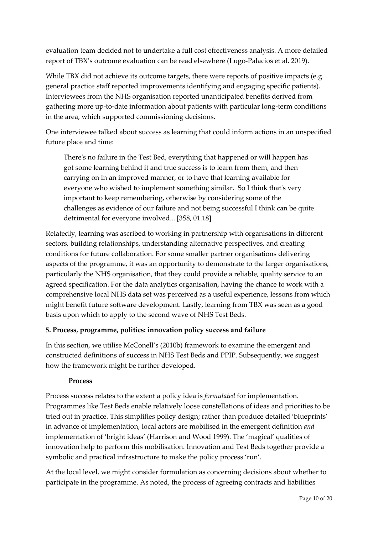evaluation team decided not to undertake a full cost effectiveness analysis. A more detailed report of TBX's outcome evaluation can be read elsewhere (Lugo-Palacios et al. 2019).

While TBX did not achieve its outcome targets, there were reports of positive impacts (e.g. general practice staff reported improvements identifying and engaging specific patients). Interviewees from the NHS organisation reported unanticipated benefits derived from gathering more up-to-date information about patients with particular long-term conditions in the area, which supported commissioning decisions.

One interviewee talked about success as learning that could inform actions in an unspecified future place and time:

There's no failure in the Test Bed, everything that happened or will happen has got some learning behind it and true success is to learn from them, and then carrying on in an improved manner, or to have that learning available for everyone who wished to implement something similar. So I think that's very important to keep remembering, otherwise by considering some of the challenges as evidence of our failure and not being successful I think can be quite detrimental for everyone involved... [3S8, 01.18]

Relatedly, learning was ascribed to working in partnership with organisations in different sectors, building relationships, understanding alternative perspectives, and creating conditions for future collaboration. For some smaller partner organisations delivering aspects of the programme, it was an opportunity to demonstrate to the larger organisations, particularly the NHS organisation, that they could provide a reliable, quality service to an agreed specification. For the data analytics organisation, having the chance to work with a comprehensive local NHS data set was perceived as a useful experience, lessons from which might benefit future software development. Lastly, learning from TBX was seen as a good basis upon which to apply to the second wave of NHS Test Beds.

#### **5. Process, programme, politics: innovation policy success and failure**

In this section, we utilise McConell's (2010b) framework to examine the emergent and constructed definitions of success in NHS Test Beds and PPIP. Subsequently, we suggest how the framework might be further developed.

#### **Process**

Process success relates to the extent a policy idea is *formulated* for implementation. Programmes like Test Beds enable relatively loose constellations of ideas and priorities to be tried out in practice. This simplifies policy design; rather than produce detailed 'blueprints' in advance of implementation, local actors are mobilised in the emergent definition *and*  implementation of 'bright ideas' (Harrison and Wood 1999). The 'magical' qualities of innovation help to perform this mobilisation. Innovation and Test Beds together provide a symbolic and practical infrastructure to make the policy process 'run'.

At the local level, we might consider formulation as concerning decisions about whether to participate in the programme. As noted, the process of agreeing contracts and liabilities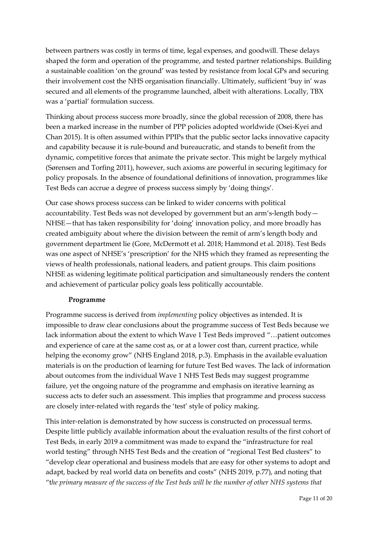between partners was costly in terms of time, legal expenses, and goodwill. These delays shaped the form and operation of the programme, and tested partner relationships. Building a sustainable coalition 'on the ground' was tested by resistance from local GPs and securing their involvement cost the NHS organisation financially. Ultimately, sufficient 'buy in' was secured and all elements of the programme launched, albeit with alterations. Locally, TBX was a 'partial' formulation success.

Thinking about process success more broadly, since the global recession of 2008, there has been a marked increase in the number of PPP policies adopted worldwide (Osei-Kyei and Chan 2015). It is often assumed within PPIPs that the public sector lacks innovative capacity and capability because it is rule-bound and bureaucratic, and stands to benefit from the dynamic, competitive forces that animate the private sector. This might be largely mythical (Sørensen and Torfing 2011), however, such axioms are powerful in securing legitimacy for policy proposals. In the absence of foundational definitions of innovation, programmes like Test Beds can accrue a degree of process success simply by 'doing things'.

Our case shows process success can be linked to wider concerns with political accountability. Test Beds was not developed by government but an arm's-length body— NHSE—that has taken responsibility for 'doing' innovation policy, and more broadly has created ambiguity about where the division between the remit of arm's length body and government department lie (Gore, McDermott et al. 2018; Hammond et al. 2018). Test Beds was one aspect of NHSE's 'prescription' for the NHS which they framed as representing the views of health professionals, national leaders, and patient groups. This claim positions NHSE as widening legitimate political participation and simultaneously renders the content and achievement of particular policy goals less politically accountable.

#### **Programme**

Programme success is derived from *implementing* policy objectives as intended. It is impossible to draw clear conclusions about the programme success of Test Beds because we lack information about the extent to which Wave 1 Test Beds improved "…patient outcomes and experience of care at the same cost as, or at a lower cost than, current practice, while helping the economy grow" (NHS England 2018, p.3). Emphasis in the available evaluation materials is on the production of learning for future Test Bed waves. The lack of information about outcomes from the individual Wave 1 NHS Test Beds may suggest programme failure, yet the ongoing nature of the programme and emphasis on iterative learning as success acts to defer such an assessment. This implies that programme and process success are closely inter-related with regards the 'test' style of policy making.

This inter-relation is demonstrated by how success is constructed on processual terms. Despite little publicly available information about the evaluation results of the first cohort of Test Beds, in early 2019 a commitment was made to expand the "infrastructure for real world testing" through NHS Test Beds and the creation of "regional Test Bed clusters" to "develop clear operational and business models that are easy for other systems to adopt and adapt, backed by real world data on benefits and costs" (NHS 2019, p.77), and noting that "t*he primary measure of the success of the Test beds will be the number of other NHS systems that*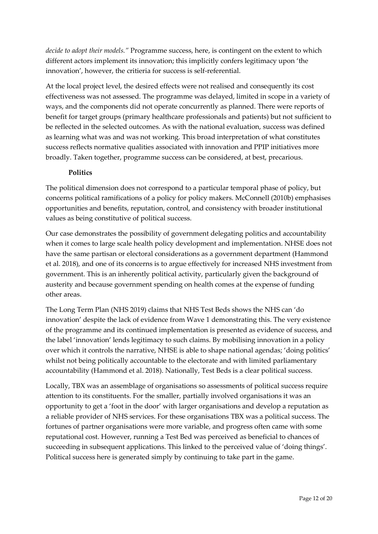*decide to adopt their models."* Programme success, here, is contingent on the extent to which different actors implement its innovation; this implicitly confers legitimacy upon 'the innovation', however, the critieria for success is self-referential.

At the local project level, the desired effects were not realised and consequently its cost effectiveness was not assessed. The programme was delayed, limited in scope in a variety of ways, and the components did not operate concurrently as planned. There were reports of benefit for target groups (primary healthcare professionals and patients) but not sufficient to be reflected in the selected outcomes. As with the national evaluation, success was defined as learning what was and was not working. This broad interpretation of what constitutes success reflects normative qualities associated with innovation and PPIP initiatives more broadly. Taken together, programme success can be considered, at best, precarious.

#### **Politics**

The political dimension does not correspond to a particular temporal phase of policy, but concerns political ramifications of a policy for policy makers. McConnell (2010b) emphasises opportunities and benefits, reputation, control, and consistency with broader institutional values as being constitutive of political success.

Our case demonstrates the possibility of government delegating politics and accountability when it comes to large scale health policy development and implementation. NHSE does not have the same partisan or electoral considerations as a government department (Hammond et al. 2018), and one of its concerns is to argue effectively for increased NHS investment from government. This is an inherently political activity, particularly given the background of austerity and because government spending on health comes at the expense of funding other areas.

The Long Term Plan (NHS 2019) claims that NHS Test Beds shows the NHS can 'do innovation' despite the lack of evidence from Wave 1 demonstrating this. The very existence of the programme and its continued implementation is presented as evidence of success, and the label 'innovation' lends legitimacy to such claims. By mobilising innovation in a policy over which it controls the narrative, NHSE is able to shape national agendas; 'doing politics' whilst not being politically accountable to the electorate and with limited parliamentary accountability (Hammond et al. 2018). Nationally, Test Beds is a clear political success.

Locally, TBX was an assemblage of organisations so assessments of political success require attention to its constituents. For the smaller, partially involved organisations it was an opportunity to get a 'foot in the door' with larger organisations and develop a reputation as a reliable provider of NHS services. For these organisations TBX was a political success. The fortunes of partner organisations were more variable, and progress often came with some reputational cost. However, running a Test Bed was perceived as beneficial to chances of succeeding in subsequent applications. This linked to the perceived value of 'doing things'. Political success here is generated simply by continuing to take part in the game.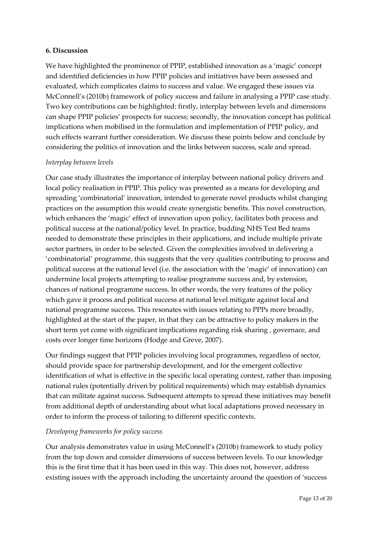#### **6. Discussion**

We have highlighted the prominence of PPIP, established innovation as a 'magic' concept and identified deficiencies in how PPIP policies and initiatives have been assessed and evaluated, which complicates claims to success and value. We engaged these issues via McConnell's (2010b) framework of policy success and failure in analysing a PPIP case study. Two key contributions can be highlighted: firstly, interplay between levels and dimensions can shape PPIP policies' prospects for success; secondly, the innovation concept has political implications when mobilised in the formulation and implementation of PPIP policy, and such effects warrant further consideration. We discuss these points below and conclude by considering the politics of innovation and the links between success, scale and spread.

#### *Interplay between levels*

Our case study illustrates the importance of interplay between national policy drivers and local policy realisation in PPIP. This policy was presented as a means for developing and spreading 'combinatorial' innovation, intended to generate novel products whilst changing practices on the assumption this would create synergistic benefits. This novel construction, which enhances the 'magic' effect of innovation upon policy, facilitates both process and political success at the national/policy level. In practice, budding NHS Test Bed teams needed to demonstrate these principles in their applications, and include multiple private sector partners, in order to be selected. Given the complexities involved in delivering a 'combinatorial' programme, this suggests that the very qualities contributing to process and political success at the national level (i.e. the association with the 'magic' of innovation) can undermine local projects attempting to realise programme success and, by extension, chances of national programme success. In other words, the very features of the policy which gave it process and political success at national level mitigate against local and national programme success. This resonates with issues relating to PPPs more broadly, highlighted at the start of the paper, in that they can be attractive to policy makers in the short term yet come with significant implications regarding risk sharing , governace, and costs over longer time horizons (Hodge and Greve, 2007).

Our findings suggest that PPIP policies involving local programmes, regardless of sector, should provide space for partnership development, and for the emergent collective identification of what is effective in the specific local operating context, rather than imposing national rules (potentially driven by political requirements) which may establish dynamics that can militate against success. Subsequent attempts to spread these initiatives may benefit from additional depth of understanding about what local adaptations proved necessary in order to inform the process of tailoring to different specific contexts.

#### *Developing frameworks for policy success*

Our analysis demonstrates value in using McConnell's (2010b) framework to study policy from the top down and consider dimensions of success between levels. To our knowledge this is the first time that it has been used in this way. This does not, however, address existing issues with the approach including the uncertainty around the question of 'success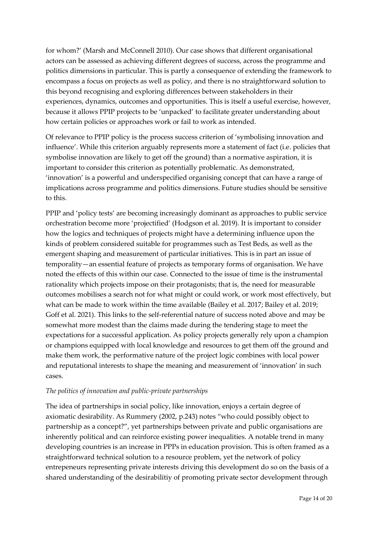for whom?' (Marsh and McConnell 2010). Our case shows that different organisational actors can be assessed as achieving different degrees of success, across the programme and politics dimensions in particular. This is partly a consequence of extending the framework to encompass a focus on projects as well as policy, and there is no straightforward solution to this beyond recognising and exploring differences between stakeholders in their experiences, dynamics, outcomes and opportunities. This is itself a useful exercise, however, because it allows PPIP projects to be 'unpacked' to facilitate greater understanding about how certain policies or approaches work or fail to work as intended.

Of relevance to PPIP policy is the process success criterion of 'symbolising innovation and influence'. While this criterion arguably represents more a statement of fact (i.e. policies that symbolise innovation are likely to get off the ground) than a normative aspiration, it is important to consider this criterion as potentially problematic. As demonstrated, 'innovation' is a powerful and underspecified organising concept that can have a range of implications across programme and politics dimensions. Future studies should be sensitive to this.

PPIP and 'policy tests' are becoming increasingly dominant as approaches to public service orchestration become more 'projectified' (Hodgson et al. 2019). It is important to consider how the logics and techniques of projects might have a determining influence upon the kinds of problem considered suitable for programmes such as Test Beds, as well as the emergent shaping and measurement of particular initiatives. This is in part an issue of temporality—an essential feature of projects as temporary forms of organisation. We have noted the effects of this within our case. Connected to the issue of time is the instrumental rationality which projects impose on their protagonists; that is, the need for measurable outcomes mobilises a search not for what might or could work, or work most effectively, but what can be made to work within the time available (Bailey et al. 2017; Bailey et al. 2019; Goff et al. 2021). This links to the self-referential nature of success noted above and may be somewhat more modest than the claims made during the tendering stage to meet the expectations for a successful application. As policy projects generally rely upon a champion or champions equipped with local knowledge and resources to get them off the ground and make them work, the performative nature of the project logic combines with local power and reputational interests to shape the meaning and measurement of 'innovation' in such cases.

#### *The politics of innovation and public-private partnerships*

The idea of partnerships in social policy, like innovation, enjoys a certain degree of axiomatic desirability. As Rummery (2002, p.243) notes "who could possibly object to partnership as a concept?", yet partnerships between private and public organisations are inherently political and can reinforce existing power inequalities. A notable trend in many developing countries is an increase in PPPs in education provision. This is often framed as a straightforward technical solution to a resource problem, yet the network of policy entrepeneurs representing private interests driving this development do so on the basis of a shared understanding of the desirabilitiy of promoting private sector development through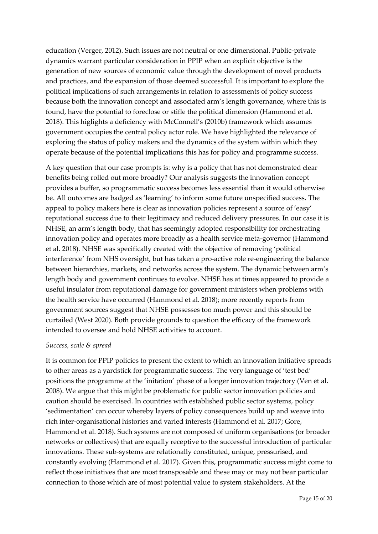education (Verger, 2012). Such issues are not neutral or one dimensional. Public-private dynamics warrant particular consideration in PPIP when an explicit objective is the generation of new sources of economic value through the development of novel products and practices, and the expansion of those deemed successful. It is important to explore the political implications of such arrangements in relation to assessments of policy success because both the innovation concept and associated arm's length governance, where this is found, have the potential to foreclose or stifle the political dimension (Hammond et al. 2018). This higlights a deficiency with McConnell's (2010b) framework which assumes government occupies the central policy actor role. We have highlighted the relevance of exploring the status of policy makers and the dynamics of the system within which they operate because of the potential implications this has for policy and programme success.

A key question that our case prompts is: why is a policy that has not demonstrated clear benefits being rolled out more broadly? Our analysis suggests the innovation concept provides a buffer, so programmatic success becomes less essential than it would otherwise be. All outcomes are badged as 'learning' to inform some future unspecified success. The appeal to policy makers here is clear as innovation policies represent a source of 'easy' reputational success due to their legitimacy and reduced delivery pressures. In our case it is NHSE, an arm's length body, that has seemingly adopted responsibility for orchestrating innovation policy and operates more broadly as a health service meta-governor (Hammond et al. 2018). NHSE was specifically created with the objective of removing 'political interference' from NHS oversight, but has taken a pro-active role re-engineering the balance between hierarchies, markets, and networks across the system. The dynamic between arm's length body and government continues to evolve. NHSE has at times appeared to provide a useful insulator from reputational damage for government ministers when problems with the health service have occurred (Hammond et al. 2018); more recently reports from government sources suggest that NHSE possesses too much power and this should be curtailed (West 2020). Both provide grounds to question the efficacy of the framework intended to oversee and hold NHSE activities to account.

#### *Success, scale & spread*

It is common for PPIP policies to present the extent to which an innovation initiative spreads to other areas as a yardstick for programmatic success. The very language of 'test bed' positions the programme at the 'initation' phase of a longer innovation trajectory (Ven et al. 2008). We argue that this might be problematic for public sector innovation policies and caution should be exercised. In countries with established public sector systems, policy 'sedimentation' can occur whereby layers of policy consequences build up and weave into rich inter-organisational histories and varied interests (Hammond et al. 2017; Gore, Hammond et al. 2018). Such systems are not composed of uniform organisations (or broader networks or collectives) that are equally receptive to the successful introduction of particular innovations. These sub-systems are relationally constituted, unique, pressurised, and constantly evolving (Hammond et al. 2017). Given this, programmatic success might come to reflect those initiatives that are most transposable and these may or may not bear particular connection to those which are of most potential value to system stakeholders. At the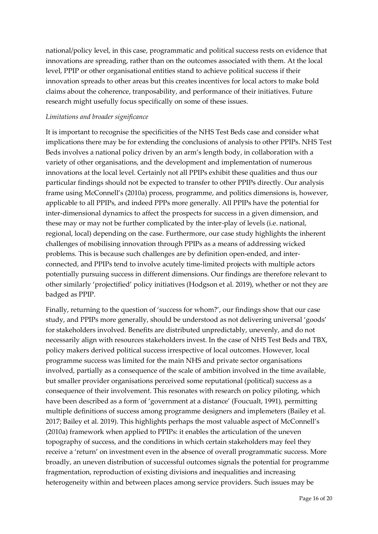national/policy level, in this case, programmatic and political success rests on evidence that innovations are spreading, rather than on the outcomes associated with them. At the local level, PPIP or other organisational entities stand to achieve political success if their innovation spreads to other areas but this creates incentives for local actors to make bold claims about the coherence, tranposability, and performance of their initiatives. Future research might usefully focus specifically on some of these issues.

#### *Limitations and broader significance*

It is important to recognise the specificities of the NHS Test Beds case and consider what implications there may be for extending the conclusions of analysis to other PPIPs. NHS Test Beds involves a national policy driven by an arm's length body, in collaboration with a variety of other organisations, and the development and implementation of numerous innovations at the local level. Certainly not all PPIPs exhibit these qualities and thus our particular findings should not be expected to transfer to other PPIPs directly. Our analysis frame using McConnell's (2010a) process, programme, and politics dimensions is, however, applicable to all PPIPs, and indeed PPPs more generally. All PPIPs have the potential for inter-dimensional dynamics to affect the prospects for success in a given dimension, and these may or may not be further complicated by the inter-play of levels (i.e. national, regional, local) depending on the case. Furthermore, our case study highlights the inherent challenges of mobilising innovation through PPIPs as a means of addressing wicked problems. This is because such challenges are by definition open-ended, and interconnected, and PPIPs tend to involve acutely time-limited projects with multiple actors potentially pursuing success in different dimensions. Our findings are therefore relevant to other similarly 'projectified' policy initiatives (Hodgson et al. 2019), whether or not they are badged as PPIP.

Finally, returning to the question of 'success for whom?', our findings show that our case study, and PPIPs more generally, should be understood as not delivering universal 'goods' for stakeholders involved. Benefits are distributed unpredictably, unevenly, and do not necessarily align with resources stakeholders invest. In the case of NHS Test Beds and TBX, policy makers derived political success irrespective of local outcomes. However, local programme success was limited for the main NHS and private sector organisations involved, partially as a consequence of the scale of ambition involved in the time available, but smaller provider organisations perceived some reputational (political) success as a consequence of their involvement. This resonates with research on policy piloting, which have been described as a form of 'government at a distance' (Foucualt, 1991), permitting multiple definitions of success among programme designers and implemeters (Bailey et al. 2017; Bailey et al. 2019). This highlights perhaps the most valuable aspect of McConnell's (2010a) framework when applied to PPIPs: it enables the articulation of the uneven topography of success, and the conditions in which certain stakeholders may feel they receive a 'return' on investment even in the absence of overall programmatic success. More broadly, an uneven distribution of successful outcomes signals the potential for programme fragmentation, reproduction of existing divisions and inequalities and increasing heterogeneity within and between places among service providers. Such issues may be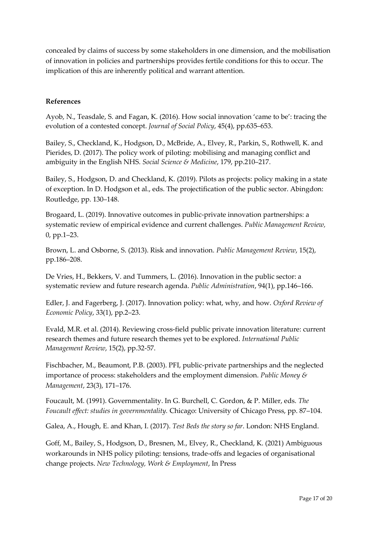concealed by claims of success by some stakeholders in one dimension, and the mobilisation of innovation in policies and partnerships provides fertile conditions for this to occur. The implication of this are inherently political and warrant attention.

#### **References**

Ayob, N., Teasdale, S. and Fagan, K. (2016). How social innovation 'came to be': tracing the evolution of a contested concept. *Journal of Social Policy*, 45(4), pp.635–653.

Bailey, S., Checkland, K., Hodgson, D., McBride, A., Elvey, R., Parkin, S., Rothwell, K. and Pierides, D. (2017). The policy work of piloting: mobilising and managing conflict and ambiguity in the English NHS. *Social Science & Medicine*, 179, pp.210–217.

Bailey, S., Hodgson, D. and Checkland, K. (2019). Pilots as projects: policy making in a state of exception. In D. Hodgson et al., eds. The projectification of the public sector. Abingdon: Routledge, pp. 130–148.

Brogaard, L. (2019). Innovative outcomes in public-private innovation partnerships: a systematic review of empirical evidence and current challenges. *Public Management Review,* 0, pp.1–23.

Brown, L. and Osborne, S. (2013). Risk and innovation. *Public Management Review*, 15(2), pp.186–208.

De Vries, H., Bekkers, V. and Tummers, L. (2016). Innovation in the public sector: a systematic review and future research agenda. *Public Administration*, 94(1), pp.146–166.

Edler, J. and Fagerberg, J. (2017). Innovation policy: what, why, and how. *Oxford Review of Economic Policy*, 33(1), pp.2–23.

Evald, M.R. et al. (2014). Reviewing cross-field public private innovation literature: current research themes and future research themes yet to be explored. *International Public Management Review*, 15(2), pp.32-57.

Fischbacher, M., Beaumont, P.B. (2003). PFI, public-private partnerships and the neglected importance of process: stakeholders and the employment dimension. *Public Money & Management*, 23(3), 171–176.

Foucault, M. (1991). Governmentality. In G. Burchell, C. Gordon, & P. Miller, eds. *The Foucault effect: studies in governmentality.* Chicago: University of Chicago Press, pp. 87–104.

Galea, A., Hough, E. and Khan, I. (2017). *Test Beds the story so far*. London: NHS England.

Goff, M., Bailey, S., Hodgson, D., Bresnen, M., Elvey, R., Checkland, K. (2021) Ambiguous workarounds in NHS policy piloting: tensions, trade-offs and legacies of organisational change projects. *New Technology, Work & Employment*, In Press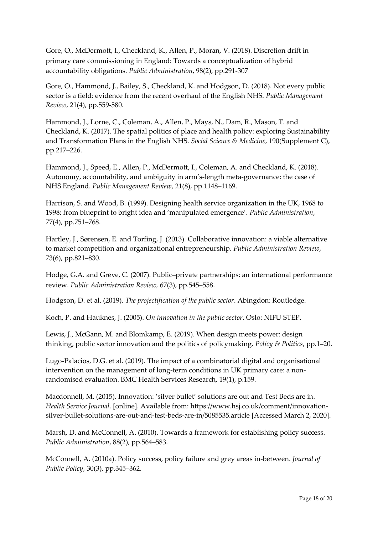Gore, O., McDermott, I., Checkland, K., Allen, P., Moran, V. (2018). Discretion drift in primary care commissioning in England: Towards a conceptualization of hybrid accountability obligations. *Public Administration*, 98(2), pp.291-307

Gore, O., Hammond, J., Bailey, S., Checkland, K. and Hodgson, D. (2018). Not every public sector is a field: evidence from the recent overhaul of the English NHS. *Public Management Review*, 21(4), pp.559-580.

Hammond, J., Lorne, C., Coleman, A., Allen, P., Mays, N., Dam, R., Mason, T. and Checkland, K. (2017). The spatial politics of place and health policy: exploring Sustainability and Transformation Plans in the English NHS. *Social Science & Medicine*, 190(Supplement C), pp.217–226.

Hammond, J., Speed, E., Allen, P., McDermott, I., Coleman, A. and Checkland, K. (2018). Autonomy, accountability, and ambiguity in arm's-length meta-governance: the case of NHS England. *Public Management Review*, 21(8), pp.1148–1169.

Harrison, S. and Wood, B. (1999). Designing health service organization in the UK, 1968 to 1998: from blueprint to bright idea and 'manipulated emergence'. *Public Administration*, 77(4), pp.751–768.

Hartley, J., Sørensen, E. and Torfing, J. (2013). Collaborative innovation: a viable alternative to market competition and organizational entrepreneurship. *Public Administration Review*, 73(6), pp.821–830.

Hodge, G.A. and Greve, C. (2007). Public–private partnerships: an international performance review. *Public Administration Review,* 67(3), pp.545–558.

Hodgson, D. et al. (2019). *The projectification of the public sector*. Abingdon: Routledge.

Koch, P. and Hauknes, J. (2005). *On innovation in the public sector*. Oslo: NIFU STEP.

Lewis, J., McGann, M. and Blomkamp, E. (2019). When design meets power: design thinking, public sector innovation and the politics of policymaking. *Policy & Politics*, pp.1–20.

Lugo-Palacios, D.G. et al. (2019). The impact of a combinatorial digital and organisational intervention on the management of long-term conditions in UK primary care: a nonrandomised evaluation. BMC Health Services Research, 19(1), p.159.

Macdonnell, M. (2015). Innovation: 'silver bullet' solutions are out and Test Beds are in. *Health Service Journal*. [online]. Available from: https://www.hsj.co.uk/comment/innovationsilver-bullet-solutions-are-out-and-test-beds-are-in/5085535.article [Accessed March 2, 2020].

Marsh, D. and McConnell, A. (2010). Towards a framework for establishing policy success. *Public Administration*, 88(2), pp.564–583.

McConnell, A. (2010a). Policy success, policy failure and grey areas in-between. *Journal of Public Policy*, 30(3), pp.345–362.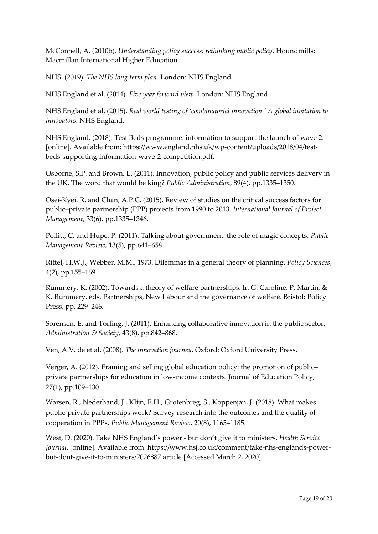McConnell, A. (2010b). *Understanding policy success: rethinking public policy*. Houndmills: Macmillan International Higher Education.

NHS. (2019). *The NHS long term plan*. London: NHS England.

NHS England et al. (2014). *Five year forward view*. London: NHS England.

NHS England et al. (2015). *Real world testing of 'combinatorial innovation.' A global invitation to innovators*. NHS England.

NHS England. (2018). Test Beds programme: information to support the launch of wave 2. [online]. Available from: https://www.england.nhs.uk/wp-content/uploads/2018/04/testbeds-supporting-information-wave-2-competition.pdf.

Osborne, S.P. and Brown, L. (2011). Innovation, public policy and public services delivery in the UK. The word that would be king? *Public Administration*, 89(4), pp.1335–1350.

Osei-Kyei, R. and Chan, A.P.C. (2015). Review of studies on the critical success factors for public–private partnership (PPP) projects from 1990 to 2013. *International Journal of Project Management*, 33(6), pp.1335–1346.

Pollitt, C. and Hupe, P. (2011). Talking about government: the role of magic concepts. *Public Management Review*, 13(5), pp.641–658.

Rittel, H.W.J., Webber, M.M., 1973. Dilemmas in a general theory of planning. *Policy Sciences*, 4(2), pp.155–169

Rummery, K. (2002). Towards a theory of welfare partnerships. In G. Caroline, P. Martin, & K. Rummery, eds. Partnerships, New Labour and the governance of welfare. Bristol: Policy Press, pp. 229–246.

Sørensen, E. and Torfing, J. (2011). Enhancing collaborative innovation in the public sector. *Administration & Society*, 43(8), pp.842–868.

Ven, A.V. de et al. (2008). *The innovation journey*. Oxford: Oxford University Press.

Verger, A. (2012). Framing and selling global education policy: the promotion of public– private partnerships for education in low-income contexts. Journal of Education Policy, 27(1), pp.109–130.

Warsen, R., Nederhand, J., Klijn, E.H., Grotenbreg, S., Koppenjan, J. (2018). What makes public-private partnerships work? Survey research into the outcomes and the quality of cooperation in PPPs. *Public Management Review*, 20(8), 1165–1185.

West, D. (2020). Take NHS England's power - but don't give it to ministers. *Health Service Journal*. [online]. Available from: https://www.hsj.co.uk/comment/take-nhs-englands-powerbut-dont-give-it-to-ministers/7026887.article [Accessed March 2, 2020].